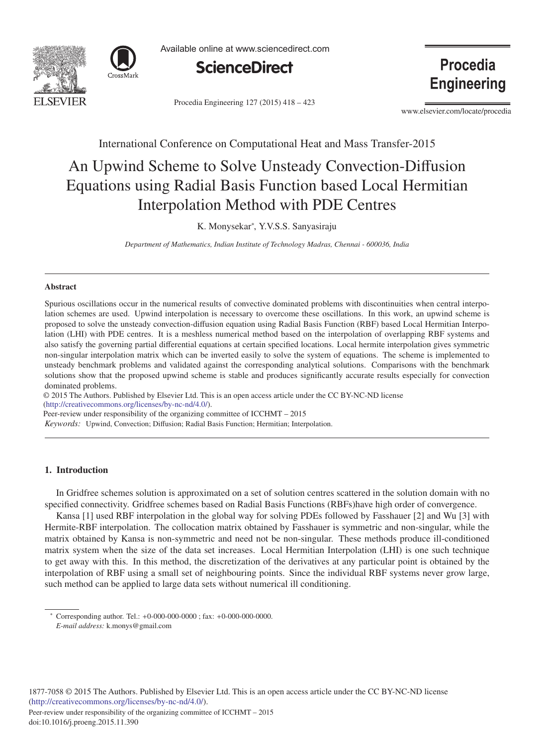



Available online at www.sciencedirect.com



Procedia Engineering 127 (2015) 418 - 423

Procedia **Engineering** 

www.elsevier.com/locate/procedia

# International Conference on Computational Heat and Mass Transfer-2015

# An Upwind Scheme to Solve Unsteady Convection-Diffusion Equations using Radial Basis Function based Local Hermitian Interpolation Method with PDE Centres

K. Monysekar<sup>∗</sup> , Y.V.S.S. Sanyasiraju

*Department of Mathematics, Indian Institute of Technology Madras, Chennai - 600036, India*

# Abstract

Spurious oscillations occur in the numerical results of convective dominated problems with discontinuities when central interpolation schemes are used. Upwind interpolation is necessary to overcome these oscillations. In this work, an upwind scheme is proposed to solve the unsteady convection-diffusion equation using Radial Basis Function (RBF) based Local Hermitian Interpolation (LHI) with PDE centres. It is a meshless numerical method based on the interpolation of overlapping RBF systems and also satisfy the governing partial differential equations at certain specified locations. Local hermite interpolation gives symmetric non-singular interpolation matrix which can be inverted easily to solve the system of equations. The scheme is implemented to unsteady benchmark problems and validated against the corresponding analytical solutions. Comparisons with the benchmark solutions show that the proposed upwind scheme is stable and produces significantly accurate results especially for convection dominated problems.

 $\odot$  2015 The Authors. Published by Elsevier Ltd. This is an open access article under the CC BY-NC-ND license (http://creativecommons.org/licenses/by-nc-nd/4.0/).

Peer-review under responsibility of the organizing committee of ICCHMT – 2015

*Keywords:* Upwind, Convection; Diffusion; Radial Basis Function; Hermitian; Interpolation.

# 1. Introduction

In Gridfree schemes solution is approximated on a set of solution centres scattered in the solution domain with no specified connectivity. Gridfree schemes based on Radial Basis Functions (RBFs)have high order of convergence.

Kansa [1] used RBF interpolation in the global way for solving PDEs followed by Fasshauer [2] and Wu [3] with Hermite-RBF interpolation. The collocation matrix obtained by Fasshauer is symmetric and non-singular, while the matrix obtained by Kansa is non-symmetric and need not be non-singular. These methods produce ill-conditioned matrix system when the size of the data set increases. Local Hermitian Interpolation (LHI) is one such technique to get away with this. In this method, the discretization of the derivatives at any particular point is obtained by the interpolation of RBF using a small set of neighbouring points. Since the individual RBF systems never grow large, such method can be applied to large data sets without numerical ill conditioning.

1877-7058 © 2015 The Authors. Published by Elsevier Ltd. This is an open access article under the CC BY-NC-ND license (http://creativecommons.org/licenses/by-nc-nd/4.0/).

Peer-review under responsibility of the organizing committee of ICCHMT – 2015

<sup>∗</sup> Corresponding author. Tel.: +0-000-000-0000 ; fax: +0-000-000-0000.

*E-mail address:* k.monys@gmail.com

doi: 10.1016/j.proeng.2015.11.390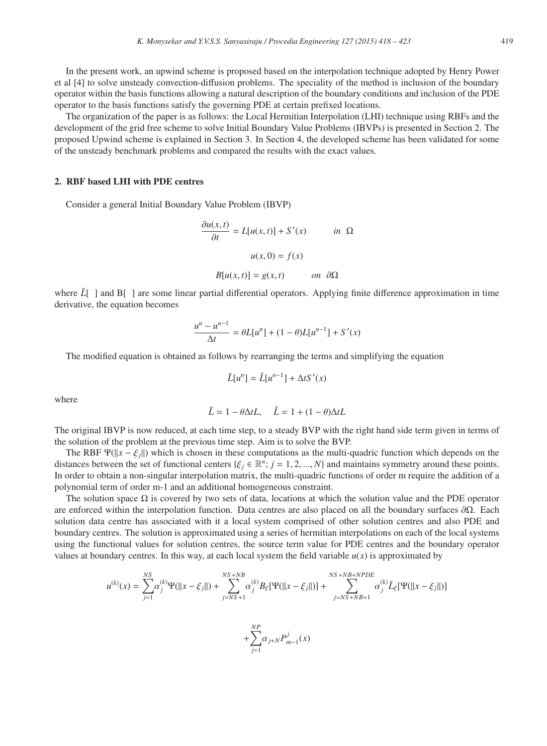In the present work, an upwind scheme is proposed based on the interpolation technique adopted by Henry Power et al [4] to solve unsteady convection-diffusion problems. The speciality of the method is inclusion of the boundary operator within the basis functions allowing a natural description of the boundary conditions and inclusion of the PDE operator to the basis functions satisfy the governing PDE at certain prefixed locations.

The organization of the paper is as follows: the Local Hermitian Interpolation (LHI) technique using RBFs and the development of the grid free scheme to solve Initial Boundary Value Problems (IBVPs) is presented in Section 2. The proposed Upwind scheme is explained in Section 3. In Section 4, the developed scheme has been validated for some of the unsteady benchmark problems and compared the results with the exact values.

#### 2. RBF based LHI with PDE centres

Consider a general Initial Boundary Value Problem (IBVP)

$$
\frac{\partial u(x,t)}{\partial t} = L[u(x,t)] + S'(x) \quad in \ \Omega
$$

$$
u(x,0) = f(x)
$$

$$
B[u(x,t)] = g(x,t) \quad on \ \partial\Omega
$$

where  $\bar{L}$   $\vert$  and  $\bar{B}$   $\vert$  are some linear partial differential operators. Applying finite difference approximation in time derivative, the equation becomes

$$
\frac{u^{n} - u^{n-1}}{\Delta t} = \theta L[u^{n}] + (1 - \theta)L[u^{n-1}] + S'(x)
$$

The modified equation is obtained as follows by rearranging the terms and simplifying the equation

$$
\bar{L}[u^n] = \hat{L}[u^{n-1}] + \Delta t S'(x)
$$

where

$$
\bar{L} = 1 - \theta \Delta t L, \quad \hat{L} = 1 + (1 - \theta) \Delta t L
$$

The original IBVP is now reduced, at each time step, to a steady BVP with the right hand side term given in terms of the solution of the problem at the previous time step. Aim is to solve the BVP.

The RBF  $\Psi(||x - \xi_j||)$  which is chosen in these computations as the multi-quadric function which depends on the distances between the set of functional centers { $\xi_j \in \mathbb{R}^n$ ;  $j = 1, 2, ..., N$ } and maintains symmetry around these points. In order to obtain a non-singular interpolation matrix, the multi-quadric functions of order m require the addition of a polynomial term of order m-1 and an additional homogeneous constraint.

The solution space  $\Omega$  is covered by two sets of data, locations at which the solution value and the PDE operator are enforced within the interpolation function. Data centres are also placed on all the boundary surfaces  $\partial \Omega$ . Each solution data centre has associated with it a local system comprised of other solution centres and also PDE and boundary centres. The solution is approximated using a series of hermitian interpolations on each of the local systems using the functional values for solution centres, the source term value for PDE centres and the boundary operator values at boundary centres. In this way, at each local system the field variable  $u(x)$  is approximated by

$$
u^{(k)}(x) = \sum_{j=1}^{NS} \alpha_j^{(k)} \Psi(||x - \xi_j||) + \sum_{j=NS+1}^{NS+NB} \alpha_j^{(k)} B_{\xi} [\Psi(||x - \xi_j||)] + \sum_{j=NS+NB+1}^{NS+NB+NPDE} \alpha_j^{(k)} \bar{L}_{\xi} [\Psi(||x - \xi_j||)]
$$

$$
+\displaystyle{\sum_{j=1}^{NP}}\alpha_{j+N}P_{m-1}^j(x)
$$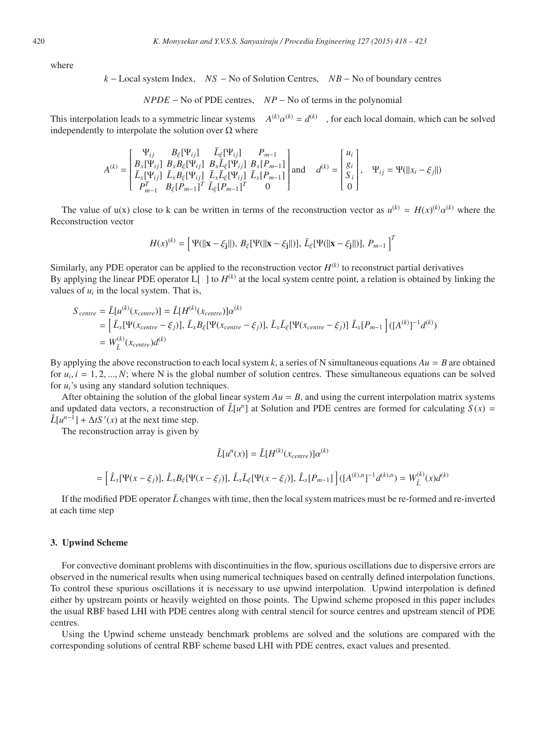where

$$
k
$$
 – Local system Index,  $NS$  – No of Solution Centres,  $NB$  – No of boundary centres

*NPDE* − No of PDE centres, *NP* − No of terms in the polynomial

This interpolation leads to a symmetric linear systems  $A^{(k)} \alpha^{(k)} = d^{(k)}$ , for each local domain, which can be solved independently to interpolate the solution over  $\Omega$  where

$$
A^{(k)} = \begin{bmatrix} \Psi_{ij} & B_{\xi}[\Psi_{ij}] & \bar{L}_{\xi}[\Psi_{ij}] & P_{m-1} \\ B_{x}[\Psi_{ij}] & B_{x}B_{\xi}[\Psi_{ij}] & B_{x}\bar{L}_{\xi}[\Psi_{ij}] & B_{x}[P_{m-1}] \\ \bar{L}_{x}[\Psi_{ij}] & \bar{L}_{x}B_{\xi}[\Psi_{ij}] & \bar{L}_{x}\bar{L}_{\xi}[\Psi_{ij}] & \bar{L}_{x}[P_{m-1}] \end{bmatrix} \text{and} \quad d^{(k)} = \begin{bmatrix} u_{i} \\ g_{i} \\ S_{i} \\ 0 \end{bmatrix}, \quad \Psi_{ij} = \Psi(||x_{i} - \xi_{j}||)
$$

The value of  $u(x)$  close to k can be written in terms of the reconstruction vector as  $u^{(k)} = H(x)^{(k)} \alpha^{(k)}$  where the Reconstruction vector

$$
H(x)^{(k)} = \left[ \Psi(||\mathbf{x} - \xi_{\mathbf{j}}||), B_{\xi}[\Psi(||\mathbf{x} - \xi_{\mathbf{j}}||)], \bar{L}_{\xi}[\Psi(||\mathbf{x} - \xi_{\mathbf{j}}||)], P_{m-1} \right]^T
$$

Similarly, any PDE operator can be applied to the reconstruction vector  $H^{(k)}$  to reconstruct partial derivatives By applying the linear PDE operator  $L[$  ] to  $H^{(k)}$  at the local system centre point, a relation is obtained by linking the values of  $u_i$  in the local system. That is,

$$
S_{centre} = \bar{L}[u^{(k)}(x_{centre})] = \bar{L}[H^{(k)}(x_{centre})]\alpha^{(k)}
$$
  
\n
$$
= [\bar{L}_x[\Psi(x_{centre} - \xi_j)], \bar{L}_xB_{\xi}[\Psi(x_{centre} - \xi_j)], \bar{L}_x\bar{L}_{\xi}[\Psi(x_{centre} - \xi_j)] \bar{L}_x[P_{m-1}]([A^{(k)}]^{-1}d^{(k)})
$$
  
\n
$$
= W_{\bar{L}}^{(k)}(x_{centre})d^{(k)}
$$

By applying the above reconstruction to each local system k, a series of N simultaneous equations  $Au = B$  are obtained for  $u_i$ ,  $i = 1, 2, ..., N$ ; where N is the global number of solution centres. These simultaneous equations can be solved for *ui*'s using any standard solution techniques.

After obtaining the solution of the global linear system  $Au = B$ , and using the current interpolation matrix systems and updated data vectors, a reconstruction of  $\hat{L}[u^n]$  at Solution and PDE centres are formed for calculating  $S(x)$  =  $\hat{L}[u^{n-1}] + \Delta t S'(x)$  at the next time step.

The reconstruction array is given by

$$
\hat{L}[u^{n}(x)] = \hat{L}[H^{(k)}(x_{centre})] \alpha^{(k)}
$$
\n
$$
= \left[ \hat{L}_{x}[\Psi(x - \xi_{j})], \hat{L}_{x}B_{\xi}[\Psi(x - \xi_{j})], \hat{L}_{x}\bar{L}_{\xi}[\Psi(x - \xi_{j})], \hat{L}_{x}[P_{m-1}]\right] ([A^{(k),n}]^{-1} d^{(k),n}) = W_{L}^{(k)}(x) d^{(k)}
$$

If the modified PDE operator  $\bar{L}$  changes with time, then the local system matrices must be re-formed and re-inverted at each time step

## 3. Upwind Scheme

For convective dominant problems with discontinuities in the flow, spurious oscillations due to dispersive errors are observed in the numerical results when using numerical techniques based on centrally defined interpolation functions. To control these spurious oscillations it is necessary to use upwind interpolation. Upwind interpolation is defined either by upstream points or heavily weighted on those points. The Upwind scheme proposed in this paper includes the usual RBF based LHI with PDE centres along with central stencil for source centres and upstream stencil of PDE centres.

Using the Upwind scheme unsteady benchmark problems are solved and the solutions are compared with the corresponding solutions of central RBF scheme based LHI with PDE centres, exact values and presented.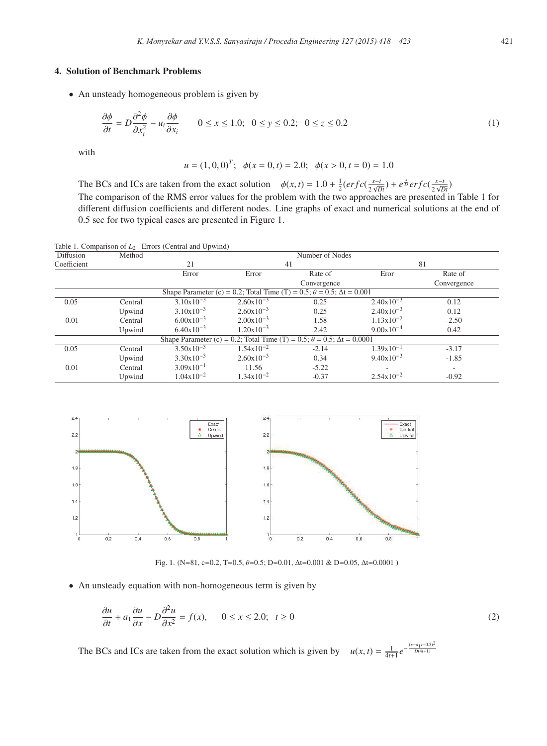# 4. Solution of Benchmark Problems

• An unsteady homogeneous problem is given by

$$
\frac{\partial \phi}{\partial t} = D \frac{\partial^2 \phi}{\partial x_i^2} - u_i \frac{\partial \phi}{\partial x_i} \qquad 0 \le x \le 1.0; \ \ 0 \le y \le 0.2; \ \ 0 \le z \le 0.2 \tag{1}
$$

with

$$
u = (1, 0, 0)^T
$$
;  $\phi(x = 0, t) = 2.0$ ;  $\phi(x > 0, t = 0) = 1.0$ 

The BCs and ICs are taken from the exact solution  $\phi(x, t) = 1.0 + \frac{1}{2} (erfc(\frac{x-t}{2\sqrt{Dt}}) + e^{\frac{x}{D}} erfc(\frac{x-t}{2\sqrt{Dt}})$ The comparison of the RMS error values for the problem with the two approaches are presented in Table 1 for different diffusion coefficients and different nodes. Line graphs of exact and numerical solutions at the end of 0.5 sec for two typical cases are presented in Figure 1.

Table 1. Comparison of  $L_2$  Errors (Central and Upwind)

| Diffusion   | Method  | Number of Nodes       |                           |                                                                                       |                       |             |  |  |
|-------------|---------|-----------------------|---------------------------|---------------------------------------------------------------------------------------|-----------------------|-------------|--|--|
| Coefficient |         | 21                    | 41                        |                                                                                       | 81                    |             |  |  |
|             |         | Error                 | Error                     | Rate of                                                                               | Eror                  | Rate of     |  |  |
|             |         |                       |                           | Convergence                                                                           |                       | Convergence |  |  |
|             |         |                       |                           | Shape Parameter (c) = 0.2; Total Time (T) = 0.5; $\theta$ = 0.5; $\Delta t$ = 0.001   |                       |             |  |  |
| 0.05        | Central | $3.10x10^{-3}$        | $2.60 \times 10^{-3}$     | 0.25                                                                                  | $2.40x10^{-3}$        | 0.12        |  |  |
|             | Upwind  | $3.10 \times 10^{-3}$ | $2.60 \times 10^{-3}$     | 0.25                                                                                  | $2.40x10^{-3}$        | 0.12        |  |  |
| 0.01        | Central | $6.00x10^{-3}$        | $2.00 \times 10^{-3}$     | 1.58                                                                                  | $1.13 \times 10^{-2}$ | $-2.50$     |  |  |
|             | Upwind  | $6.40 \times 10^{-3}$ | $1.20 \times 10^{-3}$     | 2.42                                                                                  | $9.00 \times 10^{-4}$ | 0.42        |  |  |
|             |         |                       |                           | Shape Parameter (c) = 0.2; Total Time (T) = 0.5; $\theta = 0.5$ ; $\Delta t = 0.0001$ |                       |             |  |  |
| 0.05        | Central | $3.50x10^{-3}$        | $1.54 \mathrm{x} 10^{-2}$ | $-2.14$                                                                               | $1.39x10^{-1}$        | $-3.17$     |  |  |
|             | Upwind  | $3.30x10^{-3}$        | $2.60 \times 10^{-3}$     | 0.34                                                                                  | $9.40x10^{-3}$        | $-1.85$     |  |  |
| 0.01        | Central | $3.09x10^{-1}$        | 11.56                     | $-5.22$                                                                               |                       |             |  |  |
|             | Upwind  | $1.04x10^{-2}$        | $1.34x10^{-2}$            | $-0.37$                                                                               | $2.54x10^{-2}$        | $-0.92$     |  |  |



Fig. 1. (N=81, c=0.2, T=0.5, θ=0.5; D=0.01, Δt=0.001 & D=0.05, Δt=0.0001 )

• An unsteady equation with non-homogeneous term is given by

$$
\frac{\partial u}{\partial t} + a_1 \frac{\partial u}{\partial x} - D \frac{\partial^2 u}{\partial x^2} = f(x), \qquad 0 \le x \le 2.0; \quad t \ge 0
$$
\n<sup>(2)</sup>

The BCs and ICs are taken from the exact solution which is given by  $u(x, t) = \frac{1}{4t+1}e^{-\frac{(x-a_1t-0.5)^2}{D(4t+1)}}$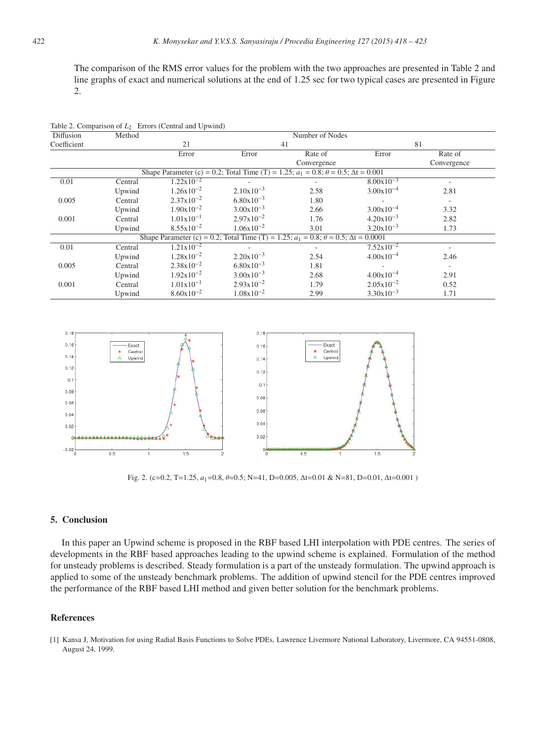The comparison of the RMS error values for the problem with the two approaches are presented in Table 2 and line graphs of exact and numerical solutions at the end of 1.25 sec for two typical cases are presented in Figure 2.

|             |         | Table 2. Comparison of $L_2$ Errors (Central and Upwind) |                                                                                                      |                 |                       |             |  |  |  |
|-------------|---------|----------------------------------------------------------|------------------------------------------------------------------------------------------------------|-----------------|-----------------------|-------------|--|--|--|
| Diffusion   | Method  |                                                          |                                                                                                      | Number of Nodes |                       |             |  |  |  |
| Coefficient |         | 21                                                       | 41                                                                                                   |                 | 81                    |             |  |  |  |
|             |         | Error                                                    | Error                                                                                                | Rate of         | Error                 | Rate of     |  |  |  |
|             |         |                                                          |                                                                                                      | Convergence     |                       | Convergence |  |  |  |
|             |         |                                                          | Shape Parameter (c) = 0.2; Total Time (T) = 1.25; $a_1 = 0.8$ ; $\theta = 0.5$ ; $\Delta t = 0.001$  |                 |                       |             |  |  |  |
| 0.01        | Central | $1.22 \times 10^{-2}$                                    |                                                                                                      |                 | $8.00 \times 10^{-3}$ |             |  |  |  |
|             | Upwind  | $1.26 \times 10^{-2}$                                    | $2.10x10^{-3}$                                                                                       | 2.58            | $3.00x10^{-4}$        | 2.81        |  |  |  |
| 0.005       | Central | $2.37x10^{-2}$                                           | $6.80 \times 10^{-3}$                                                                                | 1.80            |                       | ٠           |  |  |  |
|             | Upwind  | $1.90 \times 10^{-2}$                                    | $3.00 \times 10^{-3}$                                                                                | 2.66            | $3.00x10^{-4}$        | 3.32        |  |  |  |
| 0.001       | Central | $1.01x10^{-1}$                                           | $2.97 \times 10^{-2}$                                                                                | 1.76            | $4.20 \times 10^{-3}$ | 2.82        |  |  |  |
|             | Upwind  | $8.55 \times 10^{-2}$                                    | $1.06x10^{-2}$                                                                                       | 3.01            | $3.20 \times 10^{-3}$ | 1.73        |  |  |  |
|             |         |                                                          | Shape Parameter (c) = 0.2; Total Time (T) = 1.25; $a_1 = 0.8$ ; $\theta = 0.5$ ; $\Delta t = 0.0001$ |                 |                       |             |  |  |  |
| 0.01        | Central | $1.21 \times 10^{-2}$                                    |                                                                                                      |                 | $7.52 \times 10^{-2}$ |             |  |  |  |
|             | Upwind  | $1.28 \times 10^{-2}$                                    | $2.20 \times 10^{-3}$                                                                                | 2.54            | $4.00x10^{-4}$        | 2.46        |  |  |  |
| 0.005       | Central | $2.38 \times 10^{-2}$                                    | $6.80 \times 10^{-3}$                                                                                | 1.81            |                       |             |  |  |  |
|             | Upwind  | $1.92 \times 10^{-2}$                                    | $3.00 \times 10^{-3}$                                                                                | 2.68            | $4.00x10^{-4}$        | 2.91        |  |  |  |
| 0.001       | Central | $1.01x10^{-1}$                                           | $2.93 \times 10^{-2}$                                                                                | 1.79            | $2.05x10^{-2}$        | 0.52        |  |  |  |
|             | Upwind  | $8.60 \times 10^{-2}$                                    | $1.08x10^{-2}$                                                                                       | 2.99            | $3.30x10^{-3}$        | 1.71        |  |  |  |



Fig. 2. (c=0.2, T=1.25, *a*1=0.8, θ=0.5; N=41, D=0.005, Δt=0.01 & N=81, D=0.01, Δt=0.001 )

## 5. Conclusion

In this paper an Upwind scheme is proposed in the RBF based LHI interpolation with PDE centres. The series of developments in the RBF based approaches leading to the upwind scheme is explained. Formulation of the method for unsteady problems is described. Steady formulation is a part of the unsteady formulation. The upwind approach is applied to some of the unsteady benchmark problems. The addition of upwind stencil for the PDE centres improved the performance of the RBF based LHI method and given better solution for the benchmark problems.

#### References

[1] Kansa J, Motivation for using Radial Basis Functions to Solve PDEs, Lawrence Livermore National Laboratory, Livermore, CA 94551-0808, August 24, 1999.